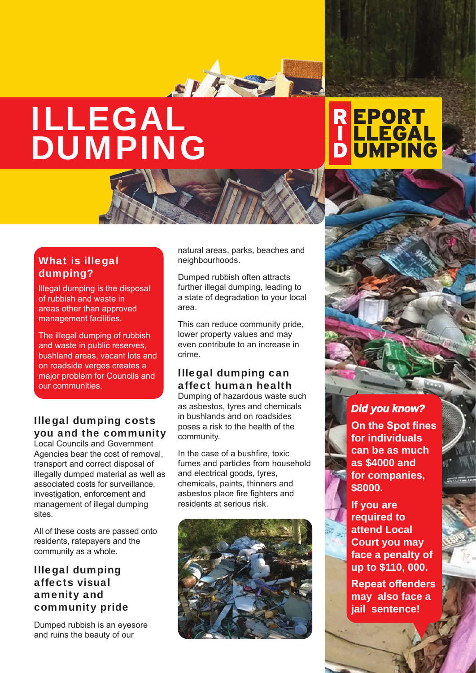# ILLEGAL DUMPING

# R EPORT<br>| LLEGAL<br>D UMPING

# What is illegal dumping?

Illegal dumping is the disposal of rubbish and waste in areas other than approved management facilities.

The illegal dumping of rubbish and waste in public reserves, bushland areas, vacant lots and on roadside verges creates a major problem for Councils and our communities.

# Illegal dumping costs you and the community

Local Councils and Government Agencies bear the cost of removal, transport and correct disposal of illegally dumped material as well as associated costs for surveillance, investigation, enforcement and management of illegal dumping sites.

All of these costs are passed onto residents, ratepayers and the community as a whole.

## Illegal dumping affects visual amenity and community pride

Dumped rubbish is an eyesore and ruins the beauty of our

natural areas, parks, beaches and neighbourhoods.

SIFET.

Dumped rubbish often attracts further illegal dumping, leading to a state of degradation to your local area.

This can reduce community pride, lower property values and may even contribute to an increase in crime.

# Illegal dumping can affect human health

Dumping of hazardous waste such as asbestos, tyres and chemicals in bushlands and on roadsides poses a risk to the health of the community.

In the case of a bushfire, toxic fumes and particles from household and electrical goods, tyres, chemicals, paints, thinners and asbestos place fire fighters and residents at serious risk.



# *Did you know?*

**On the Spot fines for individuals can be as much as \$4000 and for companies, \$8000.** 

**If you are required to attend Local Court you may face a penalty of up to \$110, 000.**

**Repeat offenders may also face a jail sentence!**